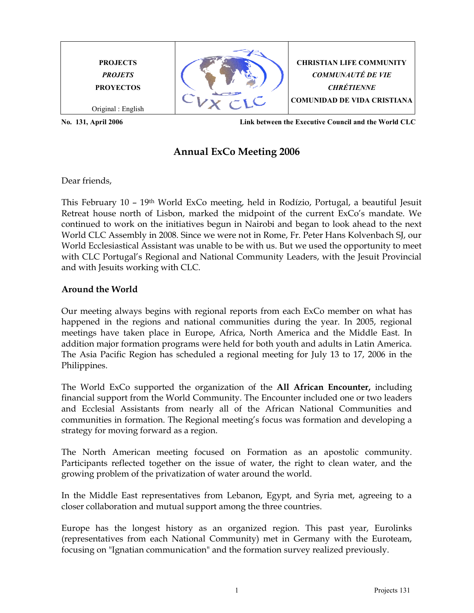

## Annual ExCo Meeting 2006

Dear friends,

This February 10 – 19th World ExCo meeting, held in Rodízio, Portugal, a beautiful Jesuit Retreat house north of Lisbon, marked the midpoint of the current ExCo's mandate. We continued to work on the initiatives begun in Nairobi and began to look ahead to the next World CLC Assembly in 2008. Since we were not in Rome, Fr. Peter Hans Kolvenbach SJ, our World Ecclesiastical Assistant was unable to be with us. But we used the opportunity to meet with CLC Portugal's Regional and National Community Leaders, with the Jesuit Provincial and with Jesuits working with CLC.

## Around the World

Our meeting always begins with regional reports from each ExCo member on what has happened in the regions and national communities during the year. In 2005, regional meetings have taken place in Europe, Africa, North America and the Middle East. In addition major formation programs were held for both youth and adults in Latin America. The Asia Pacific Region has scheduled a regional meeting for July 13 to 17, 2006 in the Philippines.

The World ExCo supported the organization of the **All African Encounter**, including financial support from the World Community. The Encounter included one or two leaders and Ecclesial Assistants from nearly all of the African National Communities and communities in formation. The Regional meeting's focus was formation and developing a strategy for moving forward as a region.

The North American meeting focused on Formation as an apostolic community. Participants reflected together on the issue of water, the right to clean water, and the growing problem of the privatization of water around the world.

In the Middle East representatives from Lebanon, Egypt, and Syria met, agreeing to a closer collaboration and mutual support among the three countries.

Europe has the longest history as an organized region. This past year, Eurolinks (representatives from each National Community) met in Germany with the Euroteam, focusing on "Ignatian communication" and the formation survey realized previously.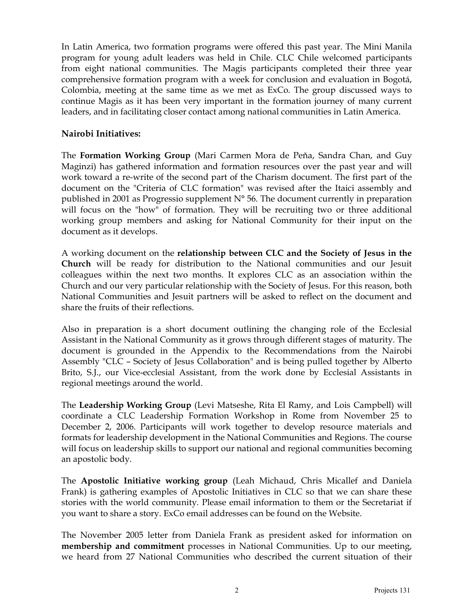In Latin America, two formation programs were offered this past year. The Mini Manila program for young adult leaders was held in Chile. CLC Chile welcomed participants from eight national communities. The Magis participants completed their three year comprehensive formation program with a week for conclusion and evaluation in Bogotá, Colombia, meeting at the same time as we met as ExCo. The group discussed ways to continue Magis as it has been very important in the formation journey of many current leaders, and in facilitating closer contact among national communities in Latin America.

## Nairobi Initiatives:

The Formation Working Group (Mari Carmen Mora de Peňa, Sandra Chan, and Guy Maginzi) has gathered information and formation resources over the past year and will work toward a re-write of the second part of the Charism document. The first part of the document on the "Criteria of CLC formation" was revised after the Itaici assembly and published in 2001 as Progressio supplement N° 56. The document currently in preparation will focus on the "how" of formation. They will be recruiting two or three additional working group members and asking for National Community for their input on the document as it develops.

A working document on the relationship between CLC and the Society of Jesus in the Church will be ready for distribution to the National communities and our Jesuit colleagues within the next two months. It explores CLC as an association within the Church and our very particular relationship with the Society of Jesus. For this reason, both National Communities and Jesuit partners will be asked to reflect on the document and share the fruits of their reflections.

Also in preparation is a short document outlining the changing role of the Ecclesial Assistant in the National Community as it grows through different stages of maturity. The document is grounded in the Appendix to the Recommendations from the Nairobi Assembly "CLC – Society of Jesus Collaboration" and is being pulled together by Alberto Brito, S.J., our Vice-ecclesial Assistant, from the work done by Ecclesial Assistants in regional meetings around the world.

The Leadership Working Group (Levi Matseshe, Rita El Ramy, and Lois Campbell) will coordinate a CLC Leadership Formation Workshop in Rome from November 25 to December 2, 2006. Participants will work together to develop resource materials and formats for leadership development in the National Communities and Regions. The course will focus on leadership skills to support our national and regional communities becoming an apostolic body.

The Apostolic Initiative working group (Leah Michaud, Chris Micallef and Daniela Frank) is gathering examples of Apostolic Initiatives in CLC so that we can share these stories with the world community. Please email information to them or the Secretariat if you want to share a story. ExCo email addresses can be found on the Website.

The November 2005 letter from Daniela Frank as president asked for information on membership and commitment processes in National Communities. Up to our meeting, we heard from 27 National Communities who described the current situation of their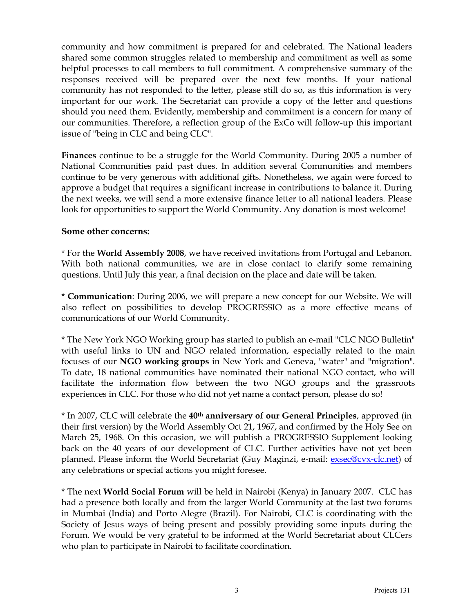community and how commitment is prepared for and celebrated. The National leaders shared some common struggles related to membership and commitment as well as some helpful processes to call members to full commitment. A comprehensive summary of the responses received will be prepared over the next few months. If your national community has not responded to the letter, please still do so, as this information is very important for our work. The Secretariat can provide a copy of the letter and questions should you need them. Evidently, membership and commitment is a concern for many of our communities. Therefore, a reflection group of the ExCo will follow-up this important issue of "being in CLC and being CLC".

Finances continue to be a struggle for the World Community. During 2005 a number of National Communities paid past dues. In addition several Communities and members continue to be very generous with additional gifts. Nonetheless, we again were forced to approve a budget that requires a significant increase in contributions to balance it. During the next weeks, we will send a more extensive finance letter to all national leaders. Please look for opportunities to support the World Community. Any donation is most welcome!

## Some other concerns:

\* For the World Assembly 2008, we have received invitations from Portugal and Lebanon. With both national communities, we are in close contact to clarify some remaining questions. Until July this year, a final decision on the place and date will be taken.

\* Communication: During 2006, we will prepare a new concept for our Website. We will also reflect on possibilities to develop PROGRESSIO as a more effective means of communications of our World Community.

\* The New York NGO Working group has started to publish an e-mail "CLC NGO Bulletin" with useful links to UN and NGO related information, especially related to the main focuses of our NGO working groups in New York and Geneva, "water" and "migration". To date, 18 national communities have nominated their national NGO contact, who will facilitate the information flow between the two NGO groups and the grassroots experiences in CLC. For those who did not yet name a contact person, please do so!

\* In 2007, CLC will celebrate the 40<sup>th</sup> anniversary of our General Principles, approved (in their first version) by the World Assembly Oct 21, 1967, and confirmed by the Holy See on March 25, 1968. On this occasion, we will publish a PROGRESSIO Supplement looking back on the 40 years of our development of CLC. Further activities have not yet been planned. Please inform the World Secretariat (Guy Maginzi, e-mail: exsec@cvx-clc.net) of any celebrations or special actions you might foresee.

\* The next World Social Forum will be held in Nairobi (Kenya) in January 2007. CLC has had a presence both locally and from the larger World Community at the last two forums in Mumbai (India) and Porto Alegre (Brazil). For Nairobi, CLC is coordinating with the Society of Jesus ways of being present and possibly providing some inputs during the Forum. We would be very grateful to be informed at the World Secretariat about CLCers who plan to participate in Nairobi to facilitate coordination.